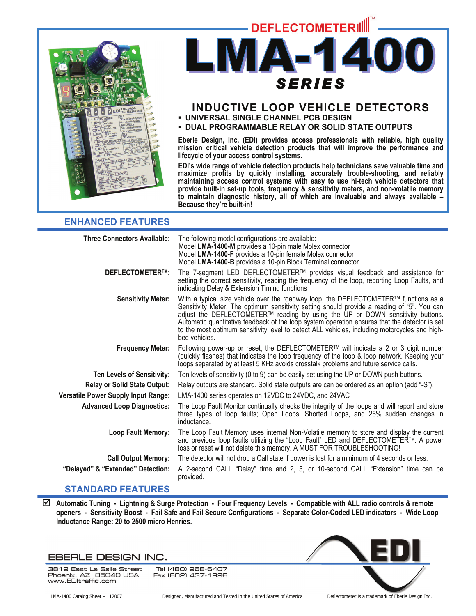



# **INDUCTIVE LOOP VEHICLE DETECTORS**

- **UNIVERSAL SINGLE CHANNEL PCB DESIGN**
- **DUAL PROGRAMMABLE RELAY OR SOLID STATE OUTPUTS**

**Eberle Design, Inc. (EDI) provides access professionals with reliable, high quality mission critical vehicle detection products that will improve the performance and lifecycle of your access control systems.** 

**EDI's wide range of vehicle detection products help technicians save valuable time and maximize profits by quickly installing, accurately trouble-shooting, and reliably maintaining access control systems with easy to use hi-tech vehicle detectors that provide built-in set-up tools, frequency & sensitivity meters, and non-volatile memory to maintain diagnostic history, all of which are invaluable and always available – Because they're built-in!** 

### **ENHANCED FEATURES**

| <b>Three Connectors Available:</b>  | The following model configurations are available:<br>Model LMA-1400-M provides a 10-pin male Molex connector<br>Model LMA-1400-F provides a 10-pin female Molex connector<br>Model LMA-1400-B provides a 10-pin Block Terminal connector                                                                                                                                                                                                                                                 |
|-------------------------------------|------------------------------------------------------------------------------------------------------------------------------------------------------------------------------------------------------------------------------------------------------------------------------------------------------------------------------------------------------------------------------------------------------------------------------------------------------------------------------------------|
| <b>DEFLECTOMETER™:</b>              | The 7-segment LED DEFLECTOMETER™ provides visual feedback and assistance for<br>setting the correct sensitivity, reading the frequency of the loop, reporting Loop Faults, and<br>indicating Delay & Extension Timing functions                                                                                                                                                                                                                                                          |
| <b>Sensitivity Meter:</b>           | With a typical size vehicle over the roadway loop, the DEFLECTOMETER™ functions as a<br>Sensitivity Meter. The optimum sensitivity setting should provide a reading of "5". You can<br>adjust the DEFLECTOMETER™ reading by using the UP or DOWN sensitivity buttons.<br>Automatic quantitative feedback of the loop system operation ensures that the detector is set<br>to the most optimum sensitivity level to detect ALL vehicles, including motorcycles and high-<br>bed vehicles. |
| <b>Frequency Meter:</b>             | Following power-up or reset, the DEFLECTOMETER™ will indicate a 2 or 3 digit number<br>(quickly flashes) that indicates the loop frequency of the loop & loop network. Keeping your<br>loops separated by at least 5 KHz avoids crosstalk problems and future service calls.                                                                                                                                                                                                             |
| <b>Ten Levels of Sensitivity:</b>   | Ten levels of sensitivity (0 to 9) can be easily set using the UP or DOWN push buttons.                                                                                                                                                                                                                                                                                                                                                                                                  |
| <b>Relay or Solid State Output:</b> | Relay outputs are standard. Solid state outputs are can be ordered as an option (add "-S").                                                                                                                                                                                                                                                                                                                                                                                              |
| Versatile Power Supply Input Range: | LMA-1400 series operates on 12VDC to 24VDC, and 24VAC                                                                                                                                                                                                                                                                                                                                                                                                                                    |
| <b>Advanced Loop Diagnostics:</b>   | The Loop Fault Monitor continually checks the integrity of the loops and will report and store<br>three types of loop faults; Open Loops, Shorted Loops, and 25% sudden changes in<br>inductance.                                                                                                                                                                                                                                                                                        |
| Loop Fault Memory:                  | The Loop Fault Memory uses internal Non-Volatile memory to store and display the current<br>and previous loop faults utilizing the "Loop Fault" LED and DEFLECTOMETER™. A power<br>loss or reset will not delete this memory. A MUST FOR TROUBLESHOOTING!                                                                                                                                                                                                                                |
| <b>Call Output Memory:</b>          | The detector will not drop a Call state if power is lost for a minimum of 4 seconds or less.                                                                                                                                                                                                                                                                                                                                                                                             |
| "Delayed" & "Extended" Detection:   | A 2-second CALL "Delay" time and 2, 5, or 10-second CALL "Extension" time can be<br>provided.                                                                                                                                                                                                                                                                                                                                                                                            |
|                                     |                                                                                                                                                                                                                                                                                                                                                                                                                                                                                          |

### **STANDARD FEATURES**

; **Automatic Tuning - Lightning & Surge Protection - Four Frequency Levels - Compatible with ALL radio controls & remote openers - Sensitivity Boost - Fail Safe and Fail Secure Configurations - Separate Color-Coded LED indicators - Wide Loop Inductance Range: 20 to 2500 micro Henries.** 

### EBERLE DESIGN INC.

3819 East La Salle Street<br>Phoenix, AZ 85040 USA Tel (480) 968-6407 Fax (602) 437-1996 www.EDltraffic.com